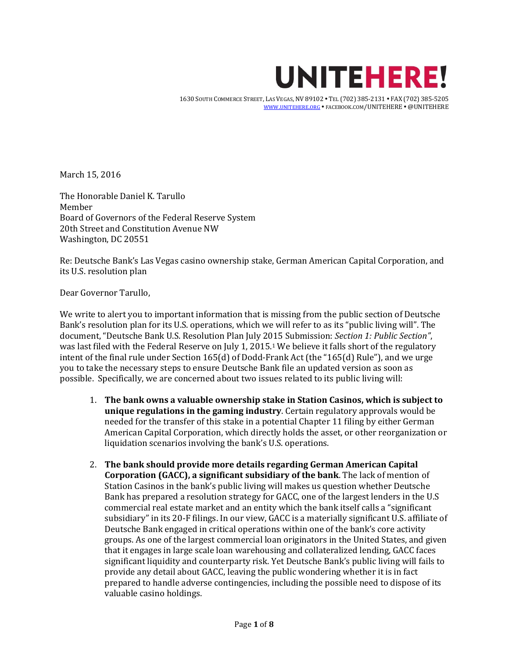

 1630 SOUTH COMMERCE STREET, LAS VEGAS, NV 89102 TEL (702) 385-2131 FAX (702) 385-5205 WWW.[UNITEHERE](http://www.unitehere.org/).ORG · FACEBOOK.COM/UNITEHERE · @UNITEHERE

March 15, 2016

The Honorable Daniel K. Tarullo Member Board of Governors of the Federal Reserve System 20th Street and Constitution Avenue NW Washington, DC 20551

Re: Deutsche Bank's Las Vegas casino ownership stake, German American Capital Corporation, and its U.S. resolution plan

Dear Governor Tarullo,

We write to alert you to important information that is missing from the public section of Deutsche Bank's resolution plan for its U.S. operations, which we will refer to as its "public living will". The document, "Deutsche Bank U.S. Resolution Plan July 2015 Submission: *Section 1: Public Section"*, was last filed with the Federal Reserve on July 1, 2015.<sup>1</sup> We believe it falls short of the regulatory intent of the final rule under Section 165(d) of Dodd-Frank Act (the "165(d) Rule"), and we urge you to take the necessary steps to ensure Deutsche Bank file an updated version as soon as possible. Specifically, we are concerned about two issues related to its public living will:

- 1. **The bank owns a valuable ownership stake in Station Casinos, which is subject to unique regulations in the gaming industry**. Certain regulatory approvals would be needed for the transfer of this stake in a potential Chapter 11 filing by either German American Capital Corporation, which directly holds the asset, or other reorganization or liquidation scenarios involving the bank's U.S. operations.
- 2. **The bank should provide more details regarding German American Capital Corporation (GACC), a significant subsidiary of the bank**. The lack of mention of Station Casinos in the bank's public living will makes us question whether Deutsche Bank has prepared a resolution strategy for GACC, one of the largest lenders in the U.S commercial real estate market and an entity which the bank itself calls a "significant subsidiary" in its 20-F filings. In our view, GACC is a materially significant U.S. affiliate of Deutsche Bank engaged in critical operations within one of the bank's core activity groups. As one of the largest commercial loan originators in the United States, and given that it engages in large scale loan warehousing and collateralized lending, GACC faces significant liquidity and counterparty risk. Yet Deutsche Bank's public living will fails to provide any detail about GACC, leaving the public wondering whether it is in fact prepared to handle adverse contingencies, including the possible need to dispose of its valuable casino holdings.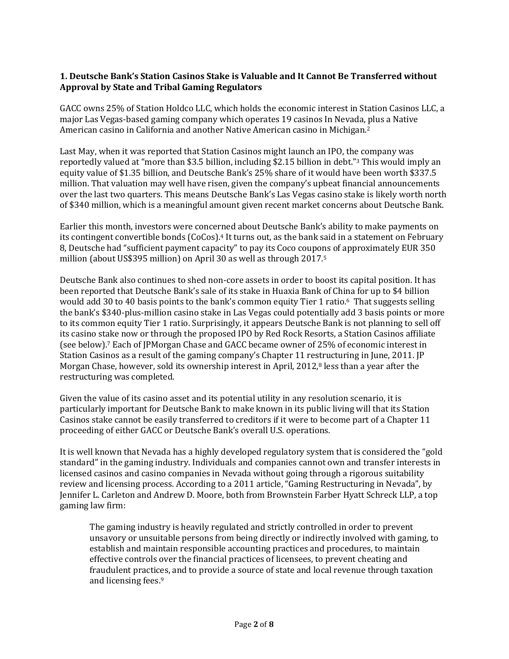# **1. Deutsche Bank's Station Casinos Stake is Valuable and It Cannot Be Transferred without Approval by State and Tribal Gaming Regulators**

GACC owns 25% of Station Holdco LLC, which holds the economic interest in Station Casinos LLC, a major Las Vegas-based gaming company which operates 19 casinos In Nevada, plus a Native American casino in California and another Native American casino in Michigan.<sup>2</sup>

Last May, when it was reported that Station Casinos might launch an IPO, the company was reportedly valued at "more than \$3.5 billion, including \$2.15 billion in debt."<sup>3</sup> This would imply an equity value of \$1.35 billion, and Deutsche Bank's 25% share of it would have been worth \$337.5 million. That valuation may well have risen, given the company's upbeat financial announcements over the last two quarters. This means Deutsche Bank's Las Vegas casino stake is likely worth north of \$340 million, which is a meaningful amount given recent market concerns about Deutsche Bank.

Earlier this month, investors were concerned about Deutsche Bank's ability to make payments on its contingent convertible bonds (CoCos).<sup>4</sup> It turns out, as the bank said in a statement on February 8, Deutsche had "sufficient payment capacity" to pay its Coco coupons of approximately EUR 350 million (about US\$395 million) on April 30 as well as through 2017.<sup>5</sup>

Deutsche Bank also continues to shed non-core assets in order to boost its capital position. It has been reported that Deutsche Bank's sale of its stake in Huaxia Bank of China for up to \$4 billion would add 30 to 40 basis points to the bank's common equity Tier 1 ratio.6 That suggests selling the bank's \$340-plus-million casino stake in Las Vegas could potentially add 3 basis points or more to its common equity Tier 1 ratio. Surprisingly, it appears Deutsche Bank is not planning to sell off its casino stake now or through the proposed IPO by Red Rock Resorts, a Station Casinos affiliate (see below).<sup>7</sup> Each of JPMorgan Chase and GACC became owner of 25% of economic interest in Station Casinos as a result of the gaming company's Chapter 11 restructuring in June, 2011. JP Morgan Chase, however, sold its ownership interest in April, 2012,<sup>8</sup> less than a year after the restructuring was completed.

Given the value of its casino asset and its potential utility in any resolution scenario, it is particularly important for Deutsche Bank to make known in its public living will that its Station Casinos stake cannot be easily transferred to creditors if it were to become part of a Chapter 11 proceeding of either GACC or Deutsche Bank's overall U.S. operations.

It is well known that Nevada has a highly developed regulatory system that is considered the "gold standard" in the gaming industry. Individuals and companies cannot own and transfer interests in licensed casinos and casino companies in Nevada without going through a rigorous suitability review and licensing process. According to a 2011 article, "Gaming Restructuring in Nevada", by Jennifer L. Carleton and Andrew D. Moore, both from Brownstein Farber Hyatt Schreck LLP, a top gaming law firm:

The gaming industry is heavily regulated and strictly controlled in order to prevent unsavory or unsuitable persons from being directly or indirectly involved with gaming, to establish and maintain responsible accounting practices and procedures, to maintain effective controls over the financial practices of licensees, to prevent cheating and fraudulent practices, and to provide a source of state and local revenue through taxation and licensing fees.9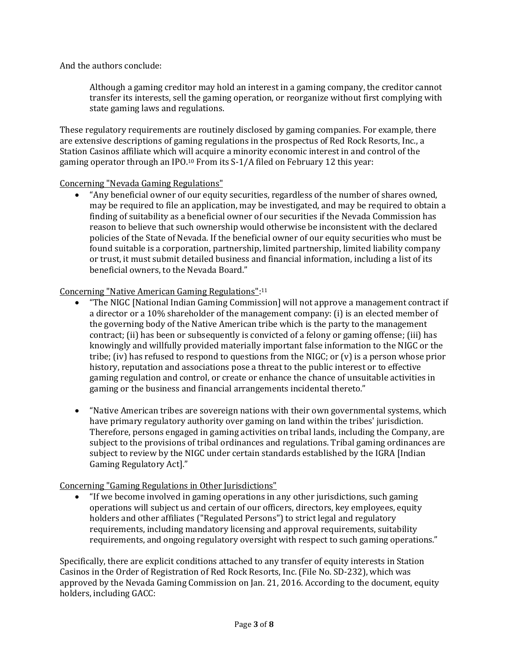And the authors conclude:

Although a gaming creditor may hold an interest in a gaming company, the creditor cannot transfer its interests, sell the gaming operation, or reorganize without first complying with state gaming laws and regulations.

These regulatory requirements are routinely disclosed by gaming companies. For example, there are extensive descriptions of gaming regulations in the prospectus of Red Rock Resorts, Inc., a Station Casinos affiliate which will acquire a minority economic interest in and control of the gaming operator through an IPO.<sup>10</sup> From its S-1/A filed on February 12 this year:

#### Concerning "Nevada Gaming Regulations"

 "Any beneficial owner of our equity securities, regardless of the number of shares owned, may be required to file an application, may be investigated, and may be required to obtain a finding of suitability as a beneficial owner of our securities if the Nevada Commission has reason to believe that such ownership would otherwise be inconsistent with the declared policies of the State of Nevada. If the beneficial owner of our equity securities who must be found suitable is a corporation, partnership, limited partnership, limited liability company or trust, it must submit detailed business and financial information, including a list of its beneficial owners, to the Nevada Board."

### Concerning "Native American Gaming Regulations": 11

- "The NIGC [National Indian Gaming Commission] will not approve a management contract if a director or a 10% shareholder of the management company: (i) is an elected member of the governing body of the Native American tribe which is the party to the management contract; (ii) has been or subsequently is convicted of a felony or gaming offense; (iii) has knowingly and willfully provided materially important false information to the NIGC or the tribe; (iv) has refused to respond to questions from the NIGC; or  $(v)$  is a person whose prior history, reputation and associations pose a threat to the public interest or to effective gaming regulation and control, or create or enhance the chance of unsuitable activities in gaming or the business and financial arrangements incidental thereto."
- "Native American tribes are sovereign nations with their own governmental systems, which have primary regulatory authority over gaming on land within the tribes' jurisdiction. Therefore, persons engaged in gaming activities on tribal lands, including the Company, are subject to the provisions of tribal ordinances and regulations. Tribal gaming ordinances are subject to review by the NIGC under certain standards established by the IGRA [Indian Gaming Regulatory Act]."

# Concerning "Gaming Regulations in Other Jurisdictions"

 "If we become involved in gaming operations in any other jurisdictions, such gaming operations will subject us and certain of our officers, directors, key employees, equity holders and other affiliates ("Regulated Persons") to strict legal and regulatory requirements, including mandatory licensing and approval requirements, suitability requirements, and ongoing regulatory oversight with respect to such gaming operations."

Specifically, there are explicit conditions attached to any transfer of equity interests in Station Casinos in the Order of Registration of Red Rock Resorts, Inc. (File No. SD-232), which was approved by the Nevada Gaming Commission on Jan. 21, 2016. According to the document, equity holders, including GACC: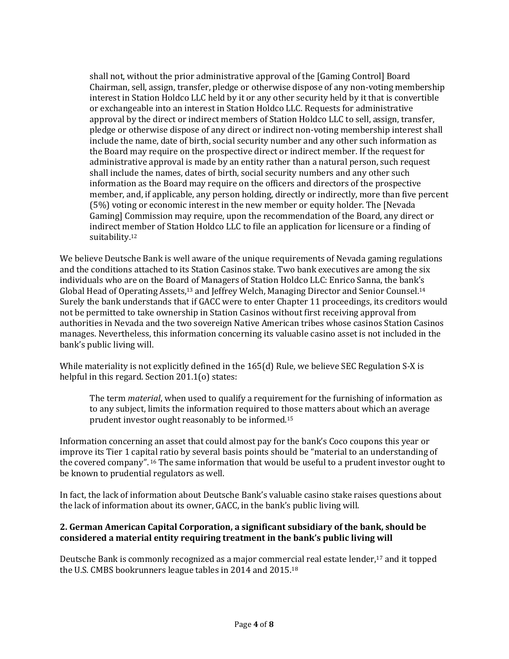shall not, without the prior administrative approval of the [Gaming Control] Board Chairman, sell, assign, transfer, pledge or otherwise dispose of any non-voting membership interest in Station Holdco LLC held by it or any other security held by it that is convertible or exchangeable into an interest in Station Holdco LLC. Requests for administrative approval by the direct or indirect members of Station Holdco LLC to sell, assign, transfer, pledge or otherwise dispose of any direct or indirect non-voting membership interest shall include the name, date of birth, social security number and any other such information as the Board may require on the prospective direct or indirect member. If the request for administrative approval is made by an entity rather than a natural person, such request shall include the names, dates of birth, social security numbers and any other such information as the Board may require on the officers and directors of the prospective member, and, if applicable, any person holding, directly or indirectly, more than five percent (5%) voting or economic interest in the new member or equity holder. The [Nevada Gaming] Commission may require, upon the recommendation of the Board, any direct or indirect member of Station Holdco LLC to file an application for licensure or a finding of suitability.<sup>12</sup>

We believe Deutsche Bank is well aware of the unique requirements of Nevada gaming regulations and the conditions attached to its Station Casinos stake. Two bank executives are among the six individuals who are on the Board of Managers of Station Holdco LLC: Enrico Sanna, the bank's Global Head of Operating Assets,<sup>13</sup> and Jeffrey Welch, Managing Director and Senior Counsel.<sup>14</sup> Surely the bank understands that if GACC were to enter Chapter 11 proceedings, its creditors would not be permitted to take ownership in Station Casinos without first receiving approval from authorities in Nevada and the two sovereign Native American tribes whose casinos Station Casinos manages. Nevertheless, this information concerning its valuable casino asset is not included in the bank's public living will.

While materiality is not explicitly defined in the 165(d) Rule, we believe SEC Regulation S-X is helpful in this regard. Section 201.1(o) states:

The term *material*, when used to qualify a requirement for the furnishing of information as to any subject, limits the information required to those matters about which an average prudent investor ought reasonably to be informed.<sup>15</sup>

Information concerning an asset that could almost pay for the bank's Coco coupons this year or improve its Tier 1 capital ratio by several basis points should be "material to an understanding of the covered company". <sup>16</sup> The same information that would be useful to a prudent investor ought to be known to prudential regulators as well.

In fact, the lack of information about Deutsche Bank's valuable casino stake raises questions about the lack of information about its owner, GACC, in the bank's public living will.

# **2. German American Capital Corporation, a significant subsidiary of the bank, should be considered a material entity requiring treatment in the bank's public living will**

Deutsche Bank is commonly recognized as a major commercial real estate lender,<sup>17</sup> and it topped the U.S. CMBS bookrunners league tables in 2014 and 2015.18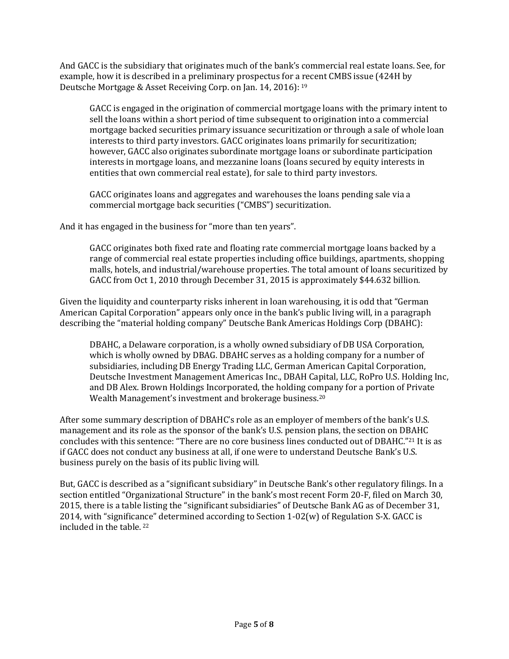And GACC is the subsidiary that originates much of the bank's commercial real estate loans. See, for example, how it is described in a preliminary prospectus for a recent CMBS issue (424H by Deutsche Mortgage & Asset Receiving Corp. on Jan. 14, 2016): <sup>19</sup>

GACC is engaged in the origination of commercial mortgage loans with the primary intent to sell the loans within a short period of time subsequent to origination into a commercial mortgage backed securities primary issuance securitization or through a sale of whole loan interests to third party investors. GACC originates loans primarily for securitization; however, GACC also originates subordinate mortgage loans or subordinate participation interests in mortgage loans, and mezzanine loans (loans secured by equity interests in entities that own commercial real estate), for sale to third party investors.

GACC originates loans and aggregates and warehouses the loans pending sale via a commercial mortgage back securities ("CMBS") securitization.

And it has engaged in the business for "more than ten years".

GACC originates both fixed rate and floating rate commercial mortgage loans backed by a range of commercial real estate properties including office buildings, apartments, shopping malls, hotels, and industrial/warehouse properties. The total amount of loans securitized by GACC from Oct 1, 2010 through December 31, 2015 is approximately \$44.632 billion.

Given the liquidity and counterparty risks inherent in loan warehousing, it is odd that "German American Capital Corporation" appears only once in the bank's public living will, in a paragraph describing the "material holding company" Deutsche Bank Americas Holdings Corp (DBAHC):

DBAHC, a Delaware corporation, is a wholly owned subsidiary of DB USA Corporation, which is wholly owned by DBAG. DBAHC serves as a holding company for a number of subsidiaries, including DB Energy Trading LLC, German American Capital Corporation, Deutsche Investment Management Americas Inc., DBAH Capital, LLC, RoPro U.S. Holding Inc, and DB Alex. Brown Holdings Incorporated, the holding company for a portion of Private Wealth Management's investment and brokerage business.<sup>20</sup>

After some summary description of DBAHC's role as an employer of members of the bank's U.S. management and its role as the sponsor of the bank's U.S. pension plans, the section on DBAHC concludes with this sentence: "There are no core business lines conducted out of DBAHC."<sup>21</sup> It is as if GACC does not conduct any business at all, if one were to understand Deutsche Bank's U.S. business purely on the basis of its public living will.

But, GACC is described as a "significant subsidiary" in Deutsche Bank's other regulatory filings. In a section entitled "Organizational Structure" in the bank's most recent Form 20-F, filed on March 30, 2015, there is a table listing the "significant subsidiaries" of Deutsche Bank AG as of December 31, 2014, with "significance" determined according to Section 1-02(w) of Regulation S-X. GACC is included in the table. <sup>22</sup>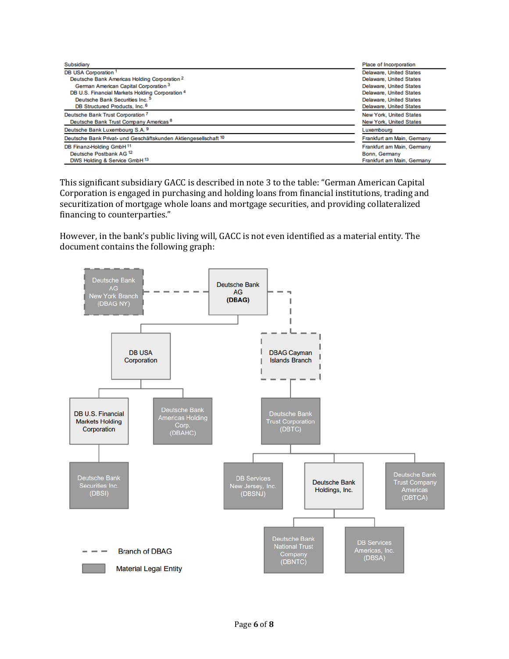| Subsidiary                                                      | Place of Incorporation         |
|-----------------------------------------------------------------|--------------------------------|
| DB USA Corporation <sup>1</sup>                                 | <b>Delaware, United States</b> |
| Deutsche Bank Americas Holding Corporation <sup>2</sup>         | <b>Delaware, United States</b> |
| German American Capital Corporation <sup>3</sup>                | <b>Delaware, United States</b> |
| DB U.S. Financial Markets Holding Corporation 4                 | <b>Delaware, United States</b> |
| Deutsche Bank Securities Inc. <sup>5</sup>                      | <b>Delaware, United States</b> |
| DB Structured Products, Inc. 6                                  | Delaware, United States        |
| Deutsche Bank Trust Corporation 7                               | <b>New York, United States</b> |
| Deutsche Bank Trust Company Americas <sup>8</sup>               | <b>New York, United States</b> |
| Deutsche Bank Luxembourg S.A. 9                                 | Luxembourg                     |
| Deutsche Bank Privat- und Geschäftskunden Aktiengesellschaft 10 | Frankfurt am Main, Germany     |
| DB Finanz-Holding GmbH 11                                       | Frankfurt am Main, Germany     |
| Deutsche Postbank AG <sup>12</sup>                              | Bonn, Germany                  |
| DWS Holding & Service GmbH 13                                   | Frankfurt am Main, Germany     |

This significant subsidiary GACC is described in note 3 to the table: "German American Capital Corporation is engaged in purchasing and holding loans from financial institutions, trading and securitization of mortgage whole loans and mortgage securities, and providing collateralized financing to counterparties."

However, in the bank's public living will, GACC is not even identified as a material entity. The document contains the following graph:

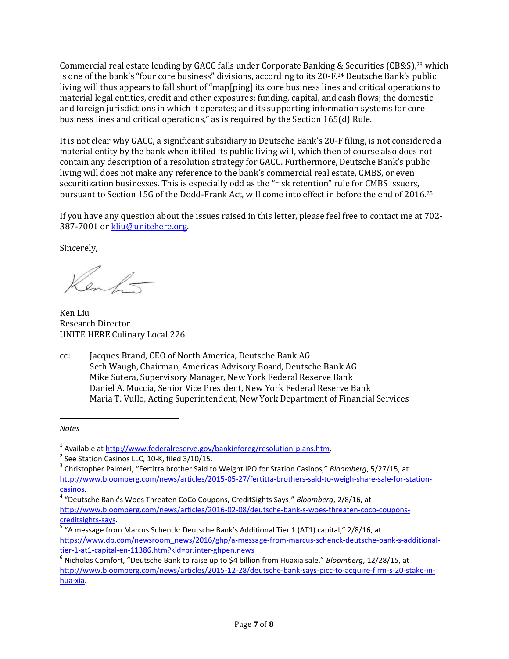Commercial real estate lending by GACC falls under Corporate Banking & Securities (CB&S),<sup>23</sup> which is one of the bank's "four core business" divisions, according to its 20-F.<sup>24</sup> Deutsche Bank's public living will thus appears to fall short of "map[ping] its core business lines and critical operations to material legal entities, credit and other exposures; funding, capital, and cash flows; the domestic and foreign jurisdictions in which it operates; and its supporting information systems for core business lines and critical operations," as is required by the Section 165(d) Rule.

It is not clear why GACC, a significant subsidiary in Deutsche Bank's 20-F filing, is not considered a material entity by the bank when it filed its public living will, which then of course also does not contain any description of a resolution strategy for GACC. Furthermore, Deutsche Bank's public living will does not make any reference to the bank's commercial real estate, CMBS, or even securitization businesses. This is especially odd as the "risk retention" rule for CMBS issuers, pursuant to Section 15G of the Dodd-Frank Act, will come into effect in before the end of 2016.<sup>25</sup>

If you have any question about the issues raised in this letter, please feel free to contact me at 702- 387-7001 o[r kliu@unitehere.org.](mailto:kliu@unitehere.org)

Sincerely,

 $\frac{1}{2}$ 

Ken Liu Research Director UNITE HERE Culinary Local 226

cc: Jacques Brand, CEO of North America, Deutsche Bank AG Seth Waugh, Chairman, Americas Advisory Board, Deutsche Bank AG Mike Sutera, Supervisory Manager, New York Federal Reserve Bank Daniel A. Muccia, Senior Vice President, New York Federal Reserve Bank Maria T. Vullo, Acting Superintendent, New York Department of Financial Services

*Notes*

 $\overline{a}$ 

<sup>&</sup>lt;sup>1</sup> Available at [http://www.federalreserve.gov/bankinforeg/resolution-plans.htm.](http://www.federalreserve.gov/bankinforeg/resolution-plans.htm)

 $2$  See Station Casinos LLC, 10-K, filed 3/10/15.

<sup>3</sup> Christopher Palmeri, "Fertitta brother Said to Weight IPO for Station Casinos," *Bloomberg*, 5/27/15, at [http://www.bloomberg.com/news/articles/2015-05-27/fertitta-brothers-said-to-weigh-share-sale-for-station](http://www.bloomberg.com/news/articles/2015-05-27/fertitta-brothers-said-to-weigh-share-sale-for-station-casinos)[casinos.](http://www.bloomberg.com/news/articles/2015-05-27/fertitta-brothers-said-to-weigh-share-sale-for-station-casinos)

<sup>4</sup> "Deutsche Bank's Woes Threaten CoCo Coupons, CreditSights Says," *Bloomberg*, 2/8/16, at [http://www.bloomberg.com/news/articles/2016-02-08/deutsche-bank-s-woes-threaten-coco-coupons](http://www.bloomberg.com/news/articles/2016-02-08/deutsche-bank-s-woes-threaten-coco-coupons-creditsights-says)[creditsights-says.](http://www.bloomberg.com/news/articles/2016-02-08/deutsche-bank-s-woes-threaten-coco-coupons-creditsights-says)

<sup>&</sup>lt;sup>5</sup> "A message from Marcus Schenck: Deutsche Bank's Additional Tier 1 (AT1) capital," 2/8/16, at [https://www.db.com/newsroom\\_news/2016/ghp/a-message-from-marcus-schenck-deutsche-bank-s-additional](https://www.db.com/newsroom_news/2016/ghp/a-message-from-marcus-schenck-deutsche-bank-s-additional-tier-1-at1-capital-en-11386.htm?kid=pr.inter-ghpen.news)[tier-1-at1-capital-en-11386.htm?kid=pr.inter-ghpen.news](https://www.db.com/newsroom_news/2016/ghp/a-message-from-marcus-schenck-deutsche-bank-s-additional-tier-1-at1-capital-en-11386.htm?kid=pr.inter-ghpen.news)

<sup>6</sup> Nicholas Comfort, "Deutsche Bank to raise up to \$4 billion from Huaxia sale," *Bloomberg*, 12/28/15, at [http://www.bloomberg.com/news/articles/2015-12-28/deutsche-bank-says-picc-to-acquire-firm-s-20-stake-in](http://www.bloomberg.com/news/articles/2015-12-28/deutsche-bank-says-picc-to-acquire-firm-s-20-stake-in-hua-xia)[hua-xia.](http://www.bloomberg.com/news/articles/2015-12-28/deutsche-bank-says-picc-to-acquire-firm-s-20-stake-in-hua-xia)